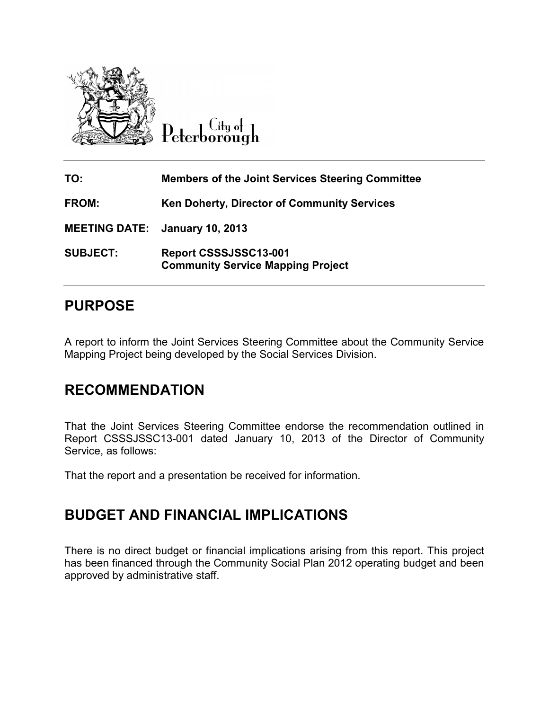

City of Peterborough

| TO:                                   | <b>Members of the Joint Services Steering Committee</b>           |
|---------------------------------------|-------------------------------------------------------------------|
| <b>FROM:</b>                          | <b>Ken Doherty, Director of Community Services</b>                |
| <b>MEETING DATE:</b> January 10, 2013 |                                                                   |
| <b>SUBJECT:</b>                       | Report CSSSJSSC13-001<br><b>Community Service Mapping Project</b> |

## **PURPOSE**

A report to inform the Joint Services Steering Committee about the Community Service Mapping Project being developed by the Social Services Division.

## **RECOMMENDATION**

That the Joint Services Steering Committee endorse the recommendation outlined in Report CSSSJSSC13-001 dated January 10, 2013 of the Director of Community Service, as follows:

That the report and a presentation be received for information.

## **BUDGET AND FINANCIAL IMPLICATIONS**

There is no direct budget or financial implications arising from this report. This project has been financed through the Community Social Plan 2012 operating budget and been approved by administrative staff.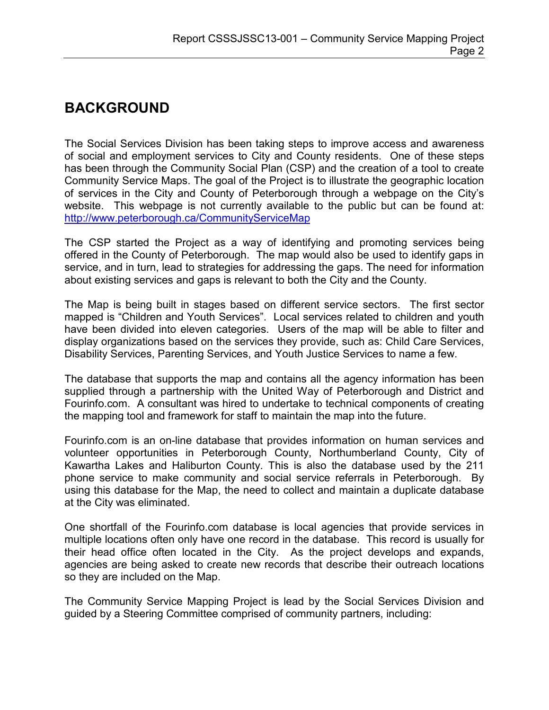## **BACKGROUND**

The Social Services Division has been taking steps to improve access and awareness of social and employment services to City and County residents. One of these steps has been through the Community Social Plan (CSP) and the creation of a tool to create Community Service Maps. The goal of the Project is to illustrate the geographic location of services in the City and County of Peterborough through a webpage on the City's website. This webpage is not currently available to the public but can be found at: <http://www.peterborough.ca/CommunityServiceMap>

The CSP started the Project as a way of identifying and promoting services being offered in the County of Peterborough. The map would also be used to identify gaps in service, and in turn, lead to strategies for addressing the gaps. The need for information about existing services and gaps is relevant to both the City and the County.

The Map is being built in stages based on different service sectors. The first sector mapped is "Children and Youth Services". Local services related to children and youth have been divided into eleven categories. Users of the map will be able to filter and display organizations based on the services they provide, such as: Child Care Services, Disability Services, Parenting Services, and Youth Justice Services to name a few.

The database that supports the map and contains all the agency information has been supplied through a partnership with the United Way of Peterborough and District and Fourinfo.com. A consultant was hired to undertake to technical components of creating the mapping tool and framework for staff to maintain the map into the future.

Fourinfo.com is an on-line database that provides information on human services and volunteer opportunities in Peterborough County, Northumberland County, City of Kawartha Lakes and Haliburton County. This is also the database used by the 211 phone service to make community and social service referrals in Peterborough. By using this database for the Map, the need to collect and maintain a duplicate database at the City was eliminated.

One shortfall of the Fourinfo.com database is local agencies that provide services in multiple locations often only have one record in the database. This record is usually for their head office often located in the City. As the project develops and expands, agencies are being asked to create new records that describe their outreach locations so they are included on the Map.

The Community Service Mapping Project is lead by the Social Services Division and guided by a Steering Committee comprised of community partners, including: